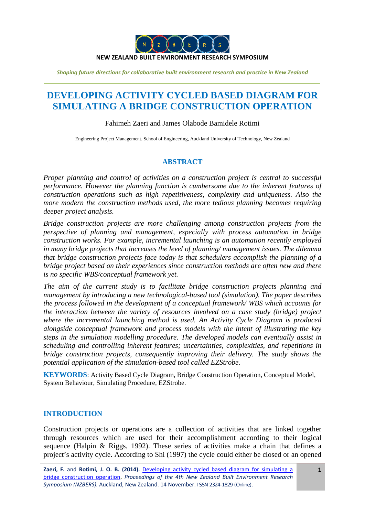

# **DEVELOPING ACTIVITY CYCLED BASED DIAGRAM FOR SIMULATING A BRIDGE CONSTRUCTION OPERATION**

## Fahimeh Zaeri and James Olabode Bamidele Rotimi

Engineering Project Management, School of Engineering, Auckland University of Technology, New Zealand

## **ABSTRACT**

*Proper planning and control of activities on a construction project is central to successful performance. However the planning function is cumbersome due to the inherent features of construction operations such as high repetitiveness, complexity and uniqueness. Also the more modern the construction methods used, the more tedious planning becomes requiring deeper project analysis.* 

*Bridge construction projects are more challenging among construction projects from the perspective of planning and management, especially with process automation in bridge construction works. For example, incremental launching is an automation recently employed in many bridge projects that increases the level of planning/ management issues. The dilemma that bridge construction projects face today is that schedulers accomplish the planning of a bridge project based on their experiences since construction methods are often new and there is no specific WBS/conceptual framework yet.*

*The aim of the current study is to facilitate bridge construction projects planning and management by introducing a new technological-based tool (simulation). The paper describes the process followed in the development of a conceptual framework/ WBS which accounts for the interaction between the variety of resources involved on a case study (bridge) project where the incremental launching method is used. An Activity Cycle Diagram is produced alongside conceptual framework and process models with the intent of illustrating the key steps in the simulation modelling procedure. The developed models can eventually assist in scheduling and controlling inherent features; uncertainties, complexities, and repetitions in bridge construction projects, consequently improving their delivery. The study shows the potential application of the simulation-based tool called EZStrobe.* 

**KEYWORDS**: Activity Based Cycle Diagram, Bridge Construction Operation, Conceptual Model, System Behaviour, Simulating Procedure, EZStrobe.

## **INTRODUCTION**

Construction projects or operations are a collection of activities that are linked together through resources which are used for their accomplishment according to their logical sequence [\(Halpin & Riggs, 1992\)](#page-16-0). These series of activities make a chain that defines a project's activity cycle. According to Shi [\(1997\)](#page-17-0) the cycle could either be closed or an opened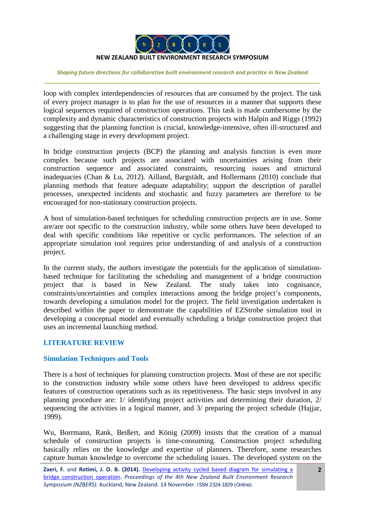

loop with complex interdependencies of resources that are consumed by the project. The task of every project manager is to plan for the use of resources in a manner that supports these logical sequences required of construction operations. This task is made cumbersome by the complexity and dynamic characteristics of construction projects with [Halpin and Riggs \(1992\)](#page-16-0) suggesting that the planning function is crucial, knowledge-intensive, often ill-structured and a challenging stage in every development project.

In bridge construction projects (BCP) the planning and analysis function is even more complex because such projects are associated with uncertainties arising from their construction sequence and associated constraints, resourcing issues and structural inadequacies [\(Chan & Lu, 2012\)](#page-16-1). [Ailland, Bargstädt, and Hollermann \(2010\)](#page-15-0) conclude that planning methods that feature adequate adaptability; support the description of parallel processes, unexpected incidents and stochastic and fuzzy parameters are therefore to be encouraged for non-stationary construction projects.

A host of simulation-based techniques for scheduling construction projects are in use. Some are/are not specific to the construction industry, while some others have been developed to deal with specific conditions like repetitive or cyclic performances. The selection of an appropriate simulation tool requires prior understanding of and analysis of a construction project.

In the current study, the authors investigate the potentials for the application of simulationbased technique for facilitating the scheduling and management of a bridge construction project that is based in New Zealand. The study takes into cognisance, constraints/uncertainties and complex interactions among the bridge project's components, towards developing a simulation model for the project. The field investigation undertaken is described within the paper to demonstrate the capabilities of EZStrobe simulation tool in developing a conceptual model and eventually scheduling a bridge construction project that uses an incremental launching method.

## **LITERATURE REVIEW**

## **Simulation Techniques and Tools**

There is a host of techniques for planning construction projects. Most of these are not specific to the construction industry while some others have been developed to address specific features of construction operations such as its repetitiveness. The basic steps involved in any planning procedure are: 1/ identifying project activities and determining their duration, 2/ sequencing the activities in a logical manner, and 3/ preparing the project schedule [\(Hajjar,](#page-16-2)  [1999\)](#page-16-2).

[Wu, Borrmann, Rank, Beißert, and König \(2009\)](#page-18-0) insists that the creation of a manual schedule of construction projects is time-consuming. Construction project scheduling basically relies on the knowledge and expertise of planners. Therefore, some researches capture human knowledge to overcome the scheduling issues. The developed system on the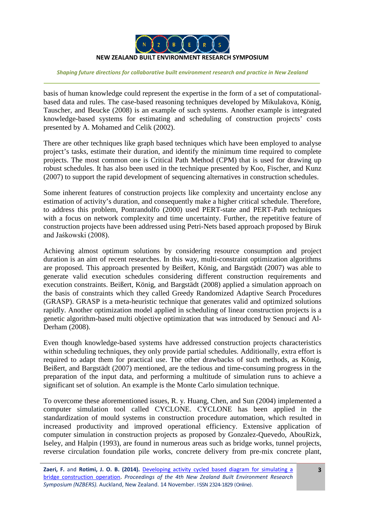

basis of human knowledge could represent the expertise in the form of a set of computationalbased data and rules. The case-based reasoning techniques developed by [Mikulakova, König,](#page-17-1)  [Tauscher, and Beucke \(2008\)](#page-17-1) is an example of such systems. Another example is integrated knowledge-based systems for estimating and scheduling of construction projects' costs presented by [A. Mohamed and Celik \(2002\)](#page-17-2).

There are other techniques like graph based techniques which have been employed to analyse project's tasks, estimate their duration, and identify the minimum time required to complete projects. The most common one is Critical Path Method (CPM) that is used for drawing up robust schedules. It has also been used in the technique presented by [Koo, Fischer, and Kunz](#page-16-3)  [\(2007\)](#page-16-3) to support the rapid development of sequencing alternatives in construction schedules.

Some inherent features of construction projects like complexity and uncertainty enclose any estimation of activity's duration, and consequently make a higher critical schedule. Therefore, to address this problem, [Pontrandolfo \(2000\)](#page-17-3) used PERT-state and PERT-Path techniques with a focus on network complexity and time uncertainty. Further, the repetitive feature of construction projects have been addressed using Petri-Nets based approach proposed by [Biruk](#page-16-4)  [and Jaśkowski \(2008](#page-16-4)).

Achieving almost optimum solutions by considering resource consumption and project duration is an aim of recent researches. In this way, multi-constraint optimization algorithms are proposed. This approach presented by [Beißert, König, and Bargstädt \(2007\)](#page-16-5) was able to generate valid execution schedules considering different construction requirements and execution constraints. [Beißert, König, and Bargstädt \(2008\)](#page-16-6) applied a simulation approach on the basis of constraints which they called Greedy Randomized Adaptive Search Procedures (GRASP). GRASP is a meta-heuristic technique that generates valid and optimized solutions rapidly. Another optimization model applied in scheduling of linear construction projects is a genetic algorithm-based multi objective optimization that was introduced by [Senouci and Al-](#page-17-4)[Derham \(2008\)](#page-17-4).

Even though knowledge-based systems have addressed construction projects characteristics within scheduling techniques, they only provide partial schedules. Additionally, extra effort is required to adapt them for practical use. The other drawbacks of such methods, as [König,](#page-16-7)  [Beißert, and Bargstädt \(2007\)](#page-16-7) mentioned, are the tedious and time-consuming progress in the preparation of the input data, and performing a multitude of simulation runs to achieve a significant set of solution. An example is the Monte Carlo simulation technique.

To overcome these aforementioned issues, [R. y. Huang, Chen, and Sun \(2004\)](#page-16-8) implemented a computer simulation tool called CYCLONE. CYCLONE has been applied in the standardization of mould systems in construction procedure automation, which resulted in increased productivity and improved operational efficiency. Extensive application of computer simulation in construction projects as proposed by [Gonzalez-Quevedo, AbouRizk,](#page-16-9)  [Iseley, and Halpin \(1993\)](#page-16-9), are found in numerous areas such as bridge works, tunnel projects, reverse circulation foundation pile works, concrete delivery from pre-mix concrete plant,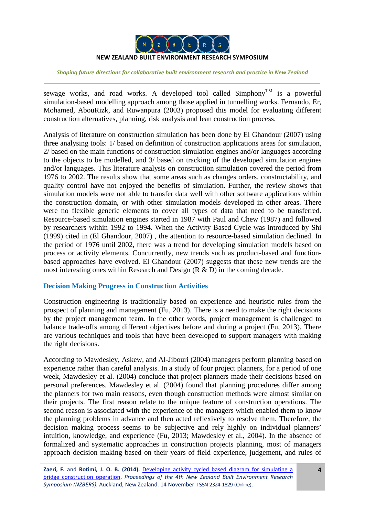

sewage works, and road works. A developed tool called  $Simplifyom<sup>TM</sup>$  is a powerful simulation-based modelling approach among those applied in tunnelling works. [Fernando, Er,](#page-16-10)  [Mohamed, AbouRizk, and Ruwanpura \(2003\)](#page-16-10) proposed this model for evaluating different construction alternatives, planning, risk analysis and lean construction process.

Analysis of literature on construction simulation has been done by [El Ghandour \(2007\)](#page-16-11) using three analysing tools: 1/ based on definition of construction applications areas for simulation, 2/ based on the main functions of construction simulation engines and/or languages according to the objects to be modelled, and 3/ based on tracking of the developed simulation engines and/or languages. This literature analysis on construction simulation covered the period from 1976 to 2002. The results show that some areas such as changes orders, constructability, and quality control have not enjoyed the benefits of simulation. Further, the review shows that simulation models were not able to transfer data well with other software applications within the construction domain, or with other simulation models developed in other areas. There were no flexible generic elements to cover all types of data that need to be transferred. Resource-based simulation engines started in 1987 with [Paul and Chew \(1987\)](#page-17-5) and followed by researchers within 1992 to 1994. When the Activity Based Cycle was introduced by [Shi](#page-17-6)  [\(1999\)](#page-17-6) cited in [\(El Ghandour, 2007\)](#page-16-11) , the attention to resource-based simulation declined. In the period of 1976 until 2002, there was a trend for developing simulation models based on process or activity elements. Concurrently, new trends such as product-based and functionbased approaches have evolved. [El Ghandour \(2007\)](#page-16-11) suggests that these new trends are the most interesting ones within Research and Design (R & D) in the coming decade.

## **Decision Making Progress in Construction Activities**

Construction engineering is traditionally based on experience and heuristic rules from the prospect of planning and management [\(Fu, 2013\)](#page-16-12). There is a need to make the right decisions by the project management team. In the other words, project management is challenged to balance trade-offs among different objectives before and during a project [\(Fu, 2013\)](#page-16-12). There are various techniques and tools that have been developed to support managers with making the right decisions.

According to [Mawdesley, Askew, and Al-Jibouri \(2004\)](#page-17-7) managers perform planning based on experience rather than careful analysis. In a study of four project planners, for a period of one week, [Mawdesley et al. \(2004\)](#page-17-7) conclude that project planners made their decisions based on personal preferences. [Mawdesley et al. \(2004\)](#page-17-7) found that planning procedures differ among the planners for two main reasons, even though construction methods were almost similar on their projects. The first reason relate to the unique feature of construction operations. The second reason is associated with the experience of the managers which enabled them to know the planning problems in advance and then acted reflexively to resolve them. Therefore, the decision making process seems to be subjective and rely highly on individual planners' intuition, knowledge, and experience [\(Fu, 2013;](#page-16-12) [Mawdesley et al., 2004\)](#page-17-7). In the absence of formalized and systematic approaches in construction projects planning, most of managers approach decision making based on their years of field experience, judgement, and rules of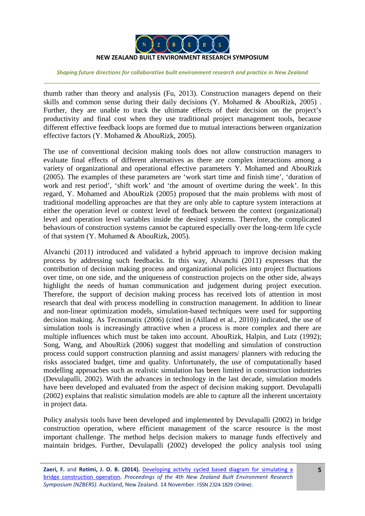

thumb rather than theory and analysis [\(Fu, 2013\)](#page-16-12). Construction managers depend on their skills and common sense during their daily decisions [\(Y. Mohamed & AbouRizk, 2005\)](#page-17-8) . Further, they are unable to track the ultimate effects of their decision on the project's productivity and final cost when they use traditional project management tools, because different effective feedback loops are formed due to mutual interactions between organization effective factors [\(Y. Mohamed & AbouRizk, 2005\)](#page-17-8).

The use of conventional decision making tools does not allow construction managers to evaluate final effects of different alternatives as there are complex interactions among a variety of organizational and operational effective parameters [Y. Mohamed and AbouRizk](#page-17-8)  [\(2005\)](#page-17-8). The examples of these parameters are 'work start time and finish time', 'duration of work and rest period', 'shift work' and 'the amount of overtime during the week'. In this regard, [Y. Mohamed and AbouRizk \(2005\)](#page-17-8) proposed that the main problems with most of traditional modelling approaches are that they are only able to capture system interactions at either the operation level or context level of feedback between the context (organizational) level and operation level variables inside the desired systems. Therefore, the complicated behaviours of construction systems cannot be captured especially over the long-term life cycle of that system [\(Y. Mohamed & AbouRizk, 2005\)](#page-17-8).

[Alvanchi \(2011\)](#page-16-13) introduced and validated a hybrid approach to improve decision making process by addressing such feedbacks. In this way, [Alvanchi \(2011\)](#page-16-13) expresses that the contribution of decision making process and organizational policies into project fluctuations over time, on one side, and the uniqueness of construction projects on the other side, always highlight the needs of human communication and judgement during project execution. Therefore, the support of decision making process has received lots of attention in most research that deal with process modelling in construction management. In addition to linear and non-linear optimization models, simulation-based techniques were used for supporting decision making. As [Tecnomatix \(2006\)](#page-17-9) (cited in [\(Ailland et al., 2010\)](#page-15-0)) indicated, the use of simulation tools is increasingly attractive when a process is more complex and there are multiple influences which must be taken into account. [AbouRizk, Halpin, and](#page-15-1) Lutz (1992); [Song, Wang, and AbouRizk \(2006\)](#page-17-10) suggest that modelling and simulation of construction process could support construction planning and assist managers/ planners with reducing the risks associated budget, time and quality. Unfortunately, the use of computationally based modelling approaches such as realistic simulation has been limited in construction industries [\(Devulapalli, 2002\)](#page-16-14). With the advances in technology in the last decade, simulation models have been developed and evaluated from the aspect of decision making support. [Devulapalli](#page-16-14)  [\(2002\)](#page-16-14) explains that realistic simulation models are able to capture all the inherent uncertainty in project data.

Policy analysis tools have been developed and implemented by [Devulapalli \(2002\)](#page-16-14) in bridge construction operation, where efficient management of the scarce resource is the most important challenge. The method helps decision makers to manage funds effectively and maintain bridges. Further, [Devulapalli \(2002\)](#page-16-14) developed the policy analysis tool using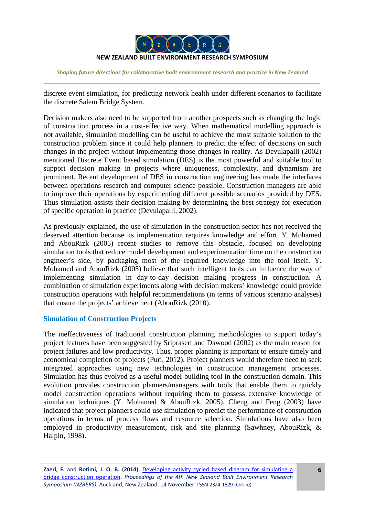

discrete event simulation, for predicting network health under different scenarios to facilitate the discrete Salem Bridge System.

Decision makers also need to be supported from another prospects such as changing the logic of construction process in a cost-effective way. When mathematical modelling approach is not available, simulation modelling can be useful to achieve the most suitable solution to the construction problem since it could help planners to predict the effect of decisions on such changes in the project without implementing those changes in reality. As [Devulapalli \(2002\)](#page-16-14) mentioned Discrete Event based simulation (DES) is the most powerful and suitable tool to support decision making in projects where uniqueness, complexity, and dynamism are prominent. Recent development of DES in construction engineering has made the interfaces between operations research and computer science possible. Construction managers are able to improve their operations by experimenting different possible scenarios provided by DES. Thus simulation assists their decision making by determining the best strategy for execution of specific operation in practice [\(Devulapalli, 2002\)](#page-16-14).

As previously explained, the use of simulation in the construction sector has not received the deserved attention because its implementation requires knowledge and effort. [Y. Mohamed](#page-17-8)  [and AbouRizk \(2005\)](#page-17-8) recent studies to remove this obstacle, focused on developing simulation tools that reduce model development and experimentation time on the construction engineer's side, by packaging most of the required knowledge into the tool itself. [Y.](#page-17-8)  [Mohamed and AbouRizk \(2005\)](#page-17-8) believe that such intelligent tools can influence the way of implementing simulation in day-to-day decision making progress in construction. A combination of simulation experiments along with decision makers' knowledge could provide construction operations with helpful recommendations (in terms of various scenario analyses) that ensure the projects' achievement [\(AbouRizk \(2010\)](#page-15-2).

## **Simulation of Construction Projects**

The ineffectiveness of traditional construction planning methodologies to support today's project features have been suggested by [Sriprasert and Dawood \(2002\)](#page-17-11) as the main reason for project failures and low productivity. Thus, proper planning is important to ensure timely and economical completion of projects [\(Puri, 2012\)](#page-17-12). Project planners would therefore need to seek integrated approaches using new technologies in construction management processes. Simulation has thus evolved as a useful model-building tool in the construction domain. This evolution provides construction planners/managers with tools that enable them to quickly model construction operations without requiring them to possess extensive knowledge of simulation techniques [\(Y. Mohamed & AbouRizk, 2005\)](#page-17-8). [Cheng and Feng \(2003\)](#page-16-15) have indicated that project planners could use simulation to predict the performance of construction operations in terms of process flows and resource selection. Simulations have also been employed in productivity measurement, risk and site planning [\(Sawhney, AbouRizk, &](#page-17-13)  [Halpin, 1998\)](#page-17-13).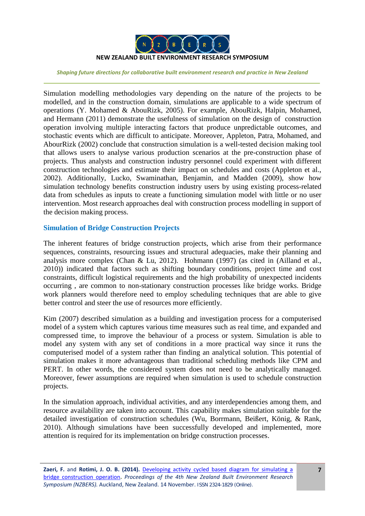

Simulation modelling methodologies vary depending on the nature of the projects to be modelled, and in the construction domain, simulations are applicable to a wide spectrum of operations [\(Y. Mohamed & AbouRizk, 2005\)](#page-17-8). For example, [AbouRizk, Halpin, Mohamed,](#page-15-3)  [and Hermann \(2011\)](#page-15-3) demonstrate the usefulness of simulation on the design of construction operation involving multiple interacting factors that produce unpredictable outcomes, and stochastic events which are difficult to anticipate. Moreover, [Appleton, Patra, Mohamed, and](#page-16-16)  [AbourRizk \(2002\)](#page-16-16) conclude that construction simulation is a well-tested decision making tool that allows users to analyse various production scenarios at the pre-construction phase of projects. Thus analysts and construction industry personnel could experiment with different construction technologies and estimate their impact on schedules and costs [\(Appleton et al.,](#page-16-16)  [2002\)](#page-16-16). Additionally, [Lucko, Swaminathan, Benjamin, and Madden \(2009\)](#page-16-17), show how simulation technology benefits construction industry users by using existing process-related data from schedules as inputs to create a functioning simulation model with little or no user intervention. Most research approaches deal with construction process modelling in support of the decision making process.

## **Simulation of Bridge Construction Projects**

The inherent features of bridge construction projects, which arise from their performance sequences, constraints, resourcing issues and structural adequacies, make their planning and analysis more complex [\(Chan & Lu, 2012\)](#page-16-1). [Hohmann \(1997\)](#page-16-18) (as cited in [\(Ailland et al.,](#page-15-0)  [2010\)](#page-15-0)) indicated that factors such as shifting boundary conditions, project time and cost constraints, difficult logistical requirements and the high probability of unexpected incidents occurring , are common to non-stationary construction processes like bridge works. Bridge work planners would therefore need to employ scheduling techniques that are able to give better control and steer the use of resources more efficiently.

[Kim \(2007\)](#page-16-19) described simulation as a building and investigation process for a computerised model of a system which captures various time measures such as real time, and expanded and compressed time, to improve the behaviour of a process or system. Simulation is able to model any system with any set of conditions in a more practical way since it runs the computerised model of a system rather than finding an analytical solution. This potential of simulation makes it more advantageous than traditional scheduling methods like CPM and PERT. In other words, the considered system does not need to be analytically managed. Moreover, fewer assumptions are required when simulation is used to schedule construction projects.

In the simulation approach, individual activities, and any interdependencies among them, and resource availability are taken into account. This capability makes simulation suitable for the detailed investigation of construction schedules [\(Wu, Borrmann, Beißert, König, & Rank,](#page-17-14)  [2010\)](#page-17-14). Although simulations have been successfully developed and implemented, more attention is required for its implementation on bridge construction processes.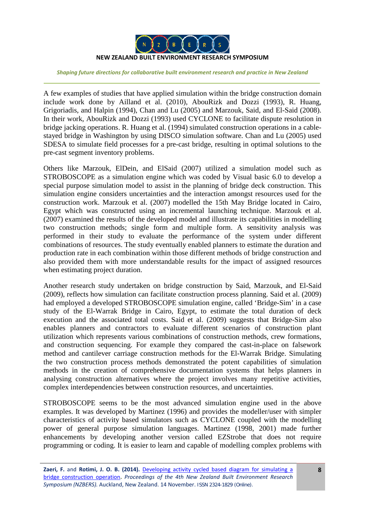

A few examples of studies that have applied simulation within the bridge construction domain include work done by [Ailland et al. \(2010\)](#page-15-0), [AbouRizk and Dozzi \(1993\)](#page-15-4), [R. Huang,](#page-16-20)  [Grigoriadis, and Halpin \(1994\)](#page-16-20), [Chan and Lu \(2005\)](#page-16-21) and [Marzouk, Said, and El-Said \(2008\)](#page-17-15). In their work, AbouRizk and Dozzi [\(1993\)](#page-15-4) used CYCLONE to facilitate dispute resolution in bridge jacking operations. [R. Huang et al. \(1994\)](#page-16-20) simulated construction operations in a cablestayed bridge in Washington by using DISCO simulation software. [Chan and Lu \(2005\)](#page-16-21) used SDESA to simulate field processes for a pre-cast bridge, resulting in optimal solutions to the pre-cast segment inventory problems.

Others like [Marzouk, ElDein, and ElSaid \(2007\)](#page-17-16) utilized a simulation model such as STROBOSCOPE as a simulation engine which was coded by Visual basic 6.0 to develop a special purpose simulation model to assist in the planning of bridge deck construction. This simulation engine considers uncertainties and the interaction amongst resources used for the construction work. [Marzouk et al. \(2007\)](#page-17-16) modelled the 15th May Bridge located in Cairo, Egypt which was constructed using an incremental launching technique. [Marzouk et al.](#page-17-16)  [\(2007\)](#page-17-16) examined the results of the developed model and illustrate its capabilities in modelling two construction methods; single form and multiple form. A sensitivity analysis was performed in their study to evaluate the performance of the system under different combinations of resources. The study eventually enabled planners to estimate the duration and production rate in each combination within those different methods of bridge construction and also provided them with more understandable results for the impact of assigned resources when estimating project duration.

Another research study undertaken on bridge construction by [Said, Marzouk, and El-Said](#page-17-17)  [\(2009\)](#page-17-17), reflects how simulation can facilitate construction process planning. [Said et al. \(2009\)](#page-17-17) had employed a developed STROBOSCOPE simulation engine, called 'Bridge-Sim' in a case study of the El-Warrak Bridge in Cairo, Egypt, to estimate the total duration of deck execution and the associated total costs. [Said et al. \(2009\)](#page-17-17) suggests that Bridge-Sim also enables planners and contractors to evaluate different scenarios of construction plant utilization which represents various combinations of construction methods, crew formations, and construction sequencing. For example they compared the cast-in-place on falsework method and cantilever carriage construction methods for the El-Warrak Bridge. Simulating the two construction process methods demonstrated the potent capabilities of simulation methods in the creation of comprehensive documentation systems that helps planners in analysing construction alternatives where the project involves many repetitive activities, complex interdependencies between construction resources, and uncertainties.

STROBOSCOPE seems to be the most advanced simulation engine used in the above examples. It was developed by Martinez [\(1996\)](#page-17-18) and provides the modeller/user with simpler characteristics of activity based simulators such as CYCLONE coupled with the modelling power of general purpose simulation languages. [Martinez \(1998,](#page-17-19) [2001\)](#page-17-20) made further enhancements by developing another version called EZStrobe that does not require programming or coding. It is easier to learn and capable of modelling complex problems with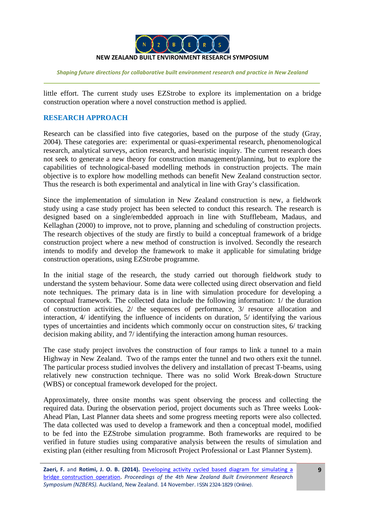

little effort. The current study uses EZStrobe to explore its implementation on a bridge construction operation where a novel construction method is applied.

# **RESEARCH APPROACH**

Research can be classified into five categories, based on the purpose of the study [\(Gray,](#page-16-22)  [2004\)](#page-16-22). These categories are: experimental or quasi-experimental research, phenomenological research, analytical surveys, action research, and heuristic inquiry. The current research does not seek to generate a new theory for construction management/planning, but to explore the capabilities of technological-based modelling methods in construction projects. The main objective is to explore how modelling methods can benefit New Zealand construction sector. Thus the research is both experimental and analytical in line with Gray's classification.

Since the implementation of simulation in New Zealand construction is new, a fieldwork study using a case study project has been selected to conduct this research. The research is designed based on a single/embedded approach in line with [Stufflebeam, Madaus, and](#page-17-21)  [Kellaghan \(2000\)](#page-17-21) to improve, not to prove, planning and scheduling of construction projects. The research objectives of the study are firstly to build a conceptual framework of a bridge construction project where a new method of construction is involved. Secondly the research intends to modify and develop the framework to make it applicable for simulating bridge construction operations, using EZStrobe programme.

In the initial stage of the research, the study carried out thorough fieldwork study to understand the system behaviour. Some data were collected using direct observation and field note techniques. The primary data is in line with simulation procedure for developing a conceptual framework. The collected data include the following information: 1/ the duration of construction activities, 2/ the sequences of performance, 3/ resource allocation and interaction, 4/ identifying the influence of incidents on duration, 5/ identifying the various types of uncertainties and incidents which commonly occur on construction sites, 6/ tracking decision making ability, and 7/ identifying the interaction among human resources.

The case study project involves the construction of four ramps to link a tunnel to a main Highway in New Zealand. Two of the ramps enter the tunnel and two others exit the tunnel. The particular process studied involves the delivery and installation of precast T-beams, using relatively new construction technique. There was no solid Work Break-down Structure (WBS) or conceptual framework developed for the project.

Approximately, three onsite months was spent observing the process and collecting the required data. During the observation period, project documents such as Three weeks Look-Ahead Plan, Last Planner data sheets and some progress meeting reports were also collected. The data collected was used to develop a framework and then a conceptual model, modified to be fed into the EZStrobe simulation programme. Both frameworks are required to be verified in future studies using comparative analysis between the results of simulation and existing plan (either resulting from Microsoft Project Professional or Last Planner System).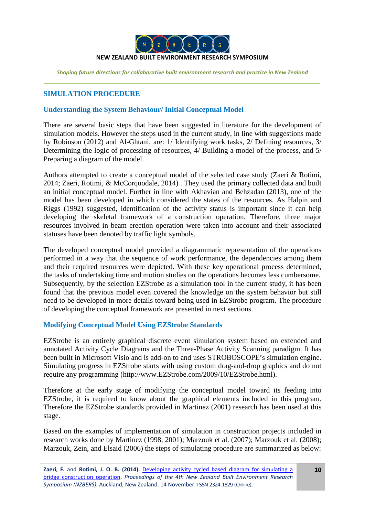

# **SIMULATION PROCEDURE**

## **Understanding the System Behaviour/ Initial Conceptual Model**

There are several basic steps that have been suggested in literature for the development of simulation models. However the steps used in the current study, in line with suggestions made by [Robinson \(2012\)](#page-17-22) and Al-Ghtani, are: 1/ Identifying work tasks, 2/ Defining resources, 3/ Determining the logic of processing of resources, 4/ Building a model of the process, and 5/ Preparing a diagram of the model.

Authors attempted to create a conceptual model of the selected case study [\(Zaeri & Rotimi,](#page-18-1)  [2014;](#page-18-1) [Zaeri, Rotimi, & McCorquodale, 2014\)](#page-18-2) . They used the primary collected data and built an initial conceptual model. Further in line with [Akhavian and Behzadan](#page-16-23) (2013), one of the model has been developed in which considered the states of the resources. As [Halpin and](#page-16-0)  [Riggs \(1992\)](#page-16-0) suggested, identification of the activity status is important since it can help developing the skeletal framework of a construction operation. Therefore, three major resources involved in beam erection operation were taken into account and their associated statuses have been denoted by traffic light symbols.

The developed conceptual model provided a diagrammatic representation of the operations performed in a way that the sequence of work performance, the dependencies among them and their required resources were depicted. With these key operational process determined, the tasks of undertaking time and motion studies on the operations becomes less cumbersome. Subsequently, by the selection EZStrobe as a simulation tool in the current study, it has been found that the previous model even covered the knowledge on the system behavior but still need to be developed in more details toward being used in EZStrobe program. The procedure of developing the conceptual framework are presented in next sections.

## **Modifying Conceptual Model Using EZStrobe Standards**

EZStrobe is an entirely graphical discrete event simulation system based on extended and annotated Activity Cycle Diagrams and the Three-Phase Activity Scanning paradigm. It has been built in Microsoft Visio and is add-on to and uses STROBOSCOPE's simulation engine. Simulating progress in EZStrobe starts with using custom drag-and-drop graphics and do not require any programming (http://www.EZStrobe.com/2009/10/EZStrobe.html).

Therefore at the early stage of modifying the conceptual model toward its feeding into EZStrobe, it is required to know about the graphical elements included in this program. Therefore the EZStrobe standards provided in [Martinez \(2001\)](#page-17-20) research has been used at this stage.

Based on the examples of implementation of simulation in construction projects included in research works done by [Martinez \(1998,](#page-17-19) [2001\)](#page-17-20); [Marzouk et al. \(2007\)](#page-17-16); [Marzouk et al. \(2008\)](#page-17-15); [Marzouk, Zein, and Elsaid \(2006\)](#page-17-23) the steps of simulating procedure are summarized as below: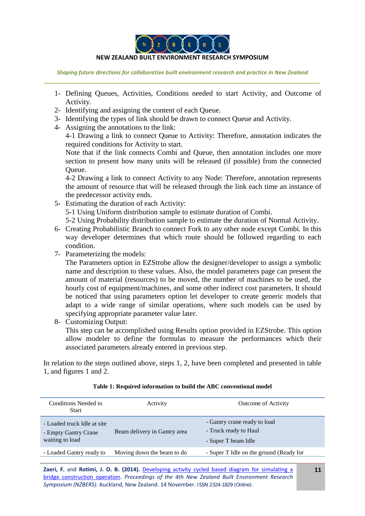

#### **NEW ZEALAND BUILT ENVIRONMENT RESEARCH SYMPOSIUM**

*Shaping future directions for collaborative built environment research and practice in New Zealand*

- 1- Defining Queues, Activities, Conditions needed to start Activity, and Outcome of Activity.
- 2- Identifying and assigning the content of each Queue.
- 3- Identifying the types of link should be drawn to connect Queue and Activity.
- 4- Assigning the annotations to the link:

4-1 Drawing a link to connect Queue to Activity: Therefore, annotation indicates the required conditions for Activity to start.

Note that if the link connects Combi and Queue, then annotation includes one more section to present how many units will be released (if possible) from the connected Queue.

4-2 Drawing a link to connect Activity to any Node: Therefore, annotation represents the amount of resource that will be released through the link each time an instance of the predecessor activity ends.

- 5- Estimating the duration of each Activity: 5-1 Using Uniform distribution sample to estimate duration of Combi. 5-2 Using Probability distribution sample to estimate the duration of Normal Activity.
- 6- Creating Probabilistic Branch to connect Fork to any other node except Combi. In this way developer determines that which route should be followed regarding to each condition.
- 7- Parameterizing the models:

The Parameters option in EZStrobe allow the designer/developer to assign a symbolic name and description to these values. Also, the model parameters page can present the amount of material (resources) to be moved, the number of machines to be used, the hourly cost of equipment/machines, and some other indirect cost parameters. It should be noticed that using parameters option let developer to create generic models that adapt to a wide range of similar operations, where such models can be used by specifying appropriate parameter value later.

8- Customizing Output:

This step can be accomplished using Results option provided in EZStrobe. This option allow modeler to define the formulas to measure the performances which their associated parameters already entered in previous step.

In relation to the steps outlined above, steps 1, 2, have been completed and presented in table 1, and figures 1 and 2.

| Conditions Needed to<br>Start                                          | Activity                     | <b>Outcome of Activity</b>                                                   |
|------------------------------------------------------------------------|------------------------------|------------------------------------------------------------------------------|
| - Loaded truck Idle at site<br>- Empty Gantry Crane<br>waiting to load | Beam delivery in Gantry area | - Gantry crane ready to load<br>- Truck ready to Haul<br>- Super T beam Idle |
| - Loaded Gantry ready to                                               | Moving down the beam to do   | - Super T Idle on the ground (Ready for                                      |
|                                                                        |                              |                                                                              |

### **Table 1: Required information to build the ABC conventional model**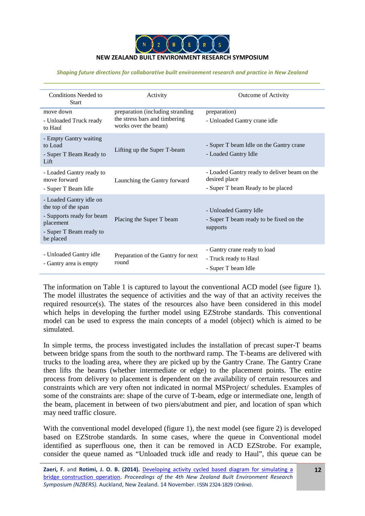

| Conditions Needed to<br><b>Start</b>                                                                                             | Activity                                                                                  | <b>Outcome of Activity</b>                                                                         |
|----------------------------------------------------------------------------------------------------------------------------------|-------------------------------------------------------------------------------------------|----------------------------------------------------------------------------------------------------|
| move down<br>- Unloaded Truck ready<br>to Haul                                                                                   | preparation (including stranding<br>the stress bars and timbering<br>works over the beam) | preparation)<br>- Unloaded Gantry crane idle                                                       |
| - Empty Gantry waiting<br>to Load<br>- Super T Beam Ready to<br>Lift                                                             | Lifting up the Super T-beam                                                               | - Super T beam Idle on the Gantry crane<br>- Loaded Gantry Idle                                    |
| - Loaded Gantry ready to<br>move forward<br>- Super T Beam Idle                                                                  | Launching the Gantry forward                                                              | - Loaded Gantry ready to deliver beam on the<br>desired place<br>- Super T beam Ready to be placed |
| - Loaded Gantry idle on<br>the top of the span<br>- Supports ready for beam<br>placement<br>- Super T Beam ready to<br>be placed | Placing the Super T beam                                                                  | - Unloaded Gantry Idle<br>- Super T beam ready to be fixed on the<br>supports                      |
| - Unloaded Gantry idle<br>- Gantry area is empty                                                                                 | Preparation of the Gantry for next<br>round                                               | - Gantry crane ready to load<br>- Truck ready to Haul<br>- Super T beam Idle                       |

The information on Table 1 is captured to layout the conventional ACD model (see figure 1). The model illustrates the sequence of activities and the way of that an activity receives the required resource(s). The states of the resources also have been considered in this model which helps in developing the further model using EZStrobe standards. This conventional model can be used to express the main concepts of a model (object) which is aimed to be simulated.

In simple terms, the process investigated includes the installation of precast super-T beams between bridge spans from the south to the northward ramp. The T-beams are delivered with trucks to the loading area, where they are picked up by the Gantry Crane. The Gantry Crane then lifts the beams (whether intermediate or edge) to the placement points. The entire process from delivery to placement is dependent on the availability of certain resources and constraints which are very often not indicated in normal MSProject/ schedules. Examples of some of the constraints are: shape of the curve of T-beam, edge or intermediate one, length of the beam, placement in between of two piers/abutment and pier, and location of span which may need traffic closure.

With the conventional model developed (figure 1), the next model (see figure 2) is developed based on EZStrobe standards. In some cases, where the queue in Conventional model identified as superfluous one, then it can be removed in ACD EZStrobe. For example, consider the queue named as "Unloaded truck idle and ready to Haul", this queue can be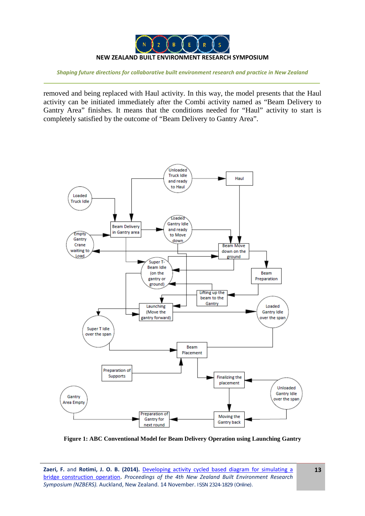

removed and being replaced with Haul activity. In this way, the model presents that the Haul activity can be initiated immediately after the Combi activity named as "Beam Delivery to Gantry Area" finishes. It means that the conditions needed for "Haul" activity to start is completely satisfied by the outcome of "Beam Delivery to Gantry Area".



**Figure 1: ABC Conventional Model for Beam Delivery Operation using Launching Gantry**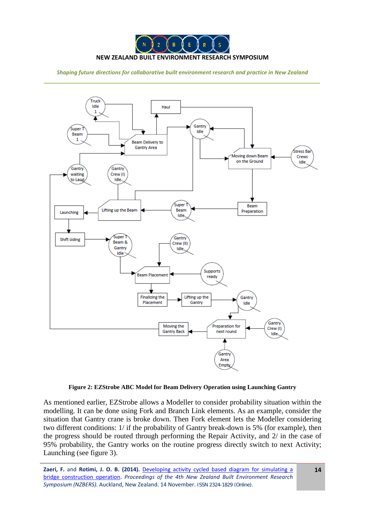



**Figure 2: EZStrobe ABC Model for Beam Delivery Operation using Launching Gantry**

As mentioned earlier, EZStrobe allows a Modeller to consider probability situation within the modelling. It can be done using Fork and Branch Link elements. As an example, consider the situation that Gantry crane is broke down. Then Fork element lets the Modeller considering two different conditions: 1/ if the probability of Gantry break-down is 5% (for example), then the progress should be routed through performing the Repair Activity, and 2/ in the case of 95% probability, the Gantry works on the routine progress directly switch to next Activity; Launching (see figure 3).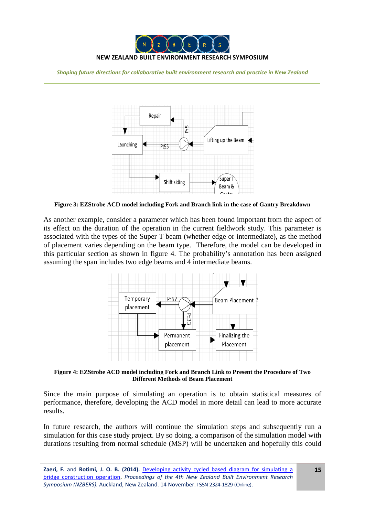



**Figure 3: EZStrobe ACD model including Fork and Branch link in the case of Gantry Breakdown**

As another example, consider a parameter which has been found important from the aspect of its effect on the duration of the operation in the current fieldwork study. This parameter is associated with the types of the Super T beam (whether edge or intermediate), as the method of placement varies depending on the beam type. Therefore, the model can be developed in this particular section as shown in figure 4. The probability's annotation has been assigned assuming the span includes two edge beams and 4 intermediate beams.



**Figure 4: EZStrobe ACD model including Fork and Branch Link to Present the Procedure of Two Different Methods of Beam Placement**

Since the main purpose of simulating an operation is to obtain statistical measures of performance, therefore, developing the ACD model in more detail can lead to more accurate results.

In future research, the authors will continue the simulation steps and subsequently run a simulation for this case study project. By so doing, a comparison of the simulation model with durations resulting from normal schedule (MSP) will be undertaken and hopefully this could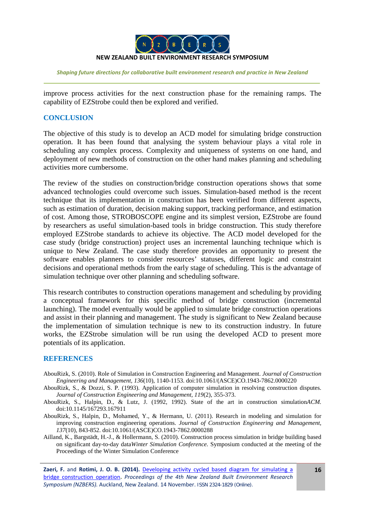

improve process activities for the next construction phase for the remaining ramps. The capability of EZStrobe could then be explored and verified.

## **CONCLUSION**

The objective of this study is to develop an ACD model for simulating bridge construction operation. It has been found that analysing the system behaviour plays a vital role in scheduling any complex process. Complexity and uniqueness of systems on one hand, and deployment of new methods of construction on the other hand makes planning and scheduling activities more cumbersome.

The review of the studies on construction/bridge construction operations shows that some advanced technologies could overcome such issues. Simulation-based method is the recent technique that its implementation in construction has been verified from different aspects, such as estimation of duration, decision making support, tracking performance, and estimation of cost. Among those, STROBOSCOPE engine and its simplest version, EZStrobe are found by researchers as useful simulation-based tools in bridge construction. This study therefore employed EZStrobe standards to achieve its objective. The ACD model developed for the case study (bridge construction) project uses an incremental launching technique which is unique to New Zealand. The case study therefore provides an opportunity to present the software enables planners to consider resources' statuses, different logic and constraint decisions and operational methods from the early stage of scheduling. This is the advantage of simulation technique over other planning and scheduling software.

This research contributes to construction operations management and scheduling by providing a conceptual framework for this specific method of bridge construction (incremental launching). The model eventually would be applied to simulate bridge construction operations and assist in their planning and management. The study is significant to New Zealand because the implementation of simulation technique is new to its construction industry. In future works, the EZStrobe simulation will be run using the developed ACD to present more potentials of its application.

## **REFERENCES**

- <span id="page-15-2"></span>AbouRizk, S. (2010). Role of Simulation in Construction Engineering and Management. *Journal of Construction Engineering and Management, 136*(10), 1140-1153. doi:10.1061/(ASCE)CO.1943-7862.0000220
- <span id="page-15-4"></span>AbouRizk, S., & Dozzi, S. P. (1993). Application of computer simulation in resolving construction disputes. *Journal of Construction Engineering and Management, 119*(2), 355-373.
- <span id="page-15-1"></span>AbouRizk, S., Halpin, D., & Lutz, J. (1992, 1992). State of the art in construction simulation*ACM.* doi:10.1145/167293.167911
- <span id="page-15-3"></span>AbouRizk, S., Halpin, D., Mohamed, Y., & Hermann, U. (2011). Research in modeling and simulation for improving construction engineering operations. *Journal of Construction Engineering and Management, 137*(10), 843-852. doi:10.1061/(ASCE)CO.1943-7862.0000288
- <span id="page-15-0"></span>Ailland, K., Bargstädt, H.-J., & Hollermann, S. (2010). Construction process simulation in bridge building based on significant day-to-day data*Winter Simulation Conference.* Symposium conducted at the meeting of the Proceedings of the Winter Simulation Conference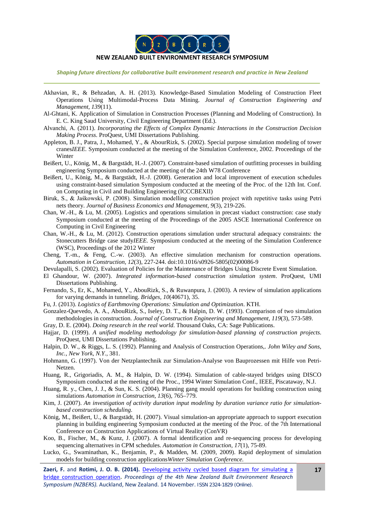

#### **NEW ZEALAND BUILT ENVIRONMENT RESEARCH SYMPOSIUM**

*Shaping future directions for collaborative built environment research and practice in New Zealand*

- <span id="page-16-23"></span>Akhavian, R., & Behzadan, A. H. (2013). Knowledge-Based Simulation Modeling of Construction Fleet Operations Using Multimodal-Process Data Mining. *Journal of Construction Engineering and Management, 139*(11).
- Al-Ghtani, K. Application of Simulation in Construction Processes (Planning and Modeling of Construction). In E. C. King Saud University, Civil Engineering Department (Ed.).
- <span id="page-16-13"></span>Alvanchi, A. (2011). *Incorporating the Effects of Complex Dynamic Interactions in the Construction Decision Making Process*. ProQuest, UMI Dissertations Publishing.
- <span id="page-16-16"></span>Appleton, B. J., Patra, J., Mohamed, Y., & AbourRizk, S. (2002). Special purpose simulation modeling of tower cranes*IEEE.* Symposium conducted at the meeting of the Simulation Conference, 2002. Proceedings of the Winter
- <span id="page-16-5"></span>Beißert, U., König, M., & Bargstädt, H.-J. (2007). Constraint-based simulation of outfitting processes in building engineering Symposium conducted at the meeting of the 24th W78 Conference
- <span id="page-16-6"></span>Beißert, U., König, M., & Bargstädt, H.-J. (2008). Generation and local improvement of execution schedules using constraint-based simulation Symposium conducted at the meeting of the Proc. of the 12th Int. Conf. on Computing in Civil and Building Engineering (ICCCBEXII)
- <span id="page-16-4"></span>Biruk, S., & Jaśkowski, P. (2008). Simulation modelling construction project with repetitive tasks using Petri nets theory. *Journal of Business Economics and Management, 9*(3), 219-226.
- <span id="page-16-21"></span>Chan, W.-H., & Lu, M. (2005). Logistics and operations simulation in precast viaduct construction: case study Symposium conducted at the meeting of the Proceedings of the 2005 ASCE International Conference on Computing in Civil Engineering
- <span id="page-16-1"></span>Chan, W.-H., & Lu, M. (2012). Construction operations simulation under structural adequacy constraints: the Stonecutters Bridge case study*IEEE.* Symposium conducted at the meeting of the Simulation Conference (WSC), Proceedings of the 2012 Winter
- <span id="page-16-15"></span>Cheng, T.-m., & Feng, C.-w. (2003). An effective simulation mechanism for construction operations. *Automation in Construction, 12*(3), 227-244. doi:10.1016/s0926-5805(02)00086-9
- <span id="page-16-14"></span>Devulapalli, S. (2002). Evaluation of Policies for the Maintenance of Bridges Using Discrete Event Simulation.
- <span id="page-16-11"></span>El Ghandour, W. (2007). *Integrated information-based construction simulation system*. ProQuest, UMI Dissertations Publishing.
- <span id="page-16-10"></span>Fernando, S., Er, K., Mohamed, Y., AbouRizk, S., & Ruwanpura, J. (2003). A review of simulation applications for varying demands in tunneling. *Bridges, 10*(40671), 35.
- <span id="page-16-12"></span>Fu, J. (2013). *Logistics of Earthmoving Operations: Simulation and Optimization*. KTH.
- <span id="page-16-9"></span>Gonzalez-Quevedo, A. A., AbouRizk, S., Iseley, D. T., & Halpin, D. W. (1993). Comparison of two simulation methodologies in construction. *Journal of Construction Engineering and Management, 119*(3), 573-589.
- <span id="page-16-22"></span>Gray, D. E. (2004). *Doing research in the real world*. Thousand Oaks, CA: Sage Publications.
- <span id="page-16-2"></span>Hajjar, D. (1999). *A unified modeling methodology for simulation-based planning of construction projects*. ProQuest, UMI Dissertations Publishing.
- <span id="page-16-0"></span>Halpin, D. W., & Riggs, L. S. (1992). Planning and Analysis of Construction Operations,. *John Wiley and Sons, Inc., New York, N.Y.*, 381.
- <span id="page-16-18"></span>Hohmann, G. (1997). Von der Netzplantechnik zur Simulation-Analyse von Bauprozessen mit Hilfe von Petri-Netzen.
- <span id="page-16-20"></span>Huang, R., Grigoriadis, A. M., & Halpin, D. W. (1994). Simulation of cable-stayed bridges using DISCO Symposium conducted at the meeting of the Proc., 1994 Winter Simulation Conf., IEEE, Piscataway, N.J.
- <span id="page-16-8"></span>Huang, R. y., Chen, J. J., & Sun, K. S. (2004). Planning gang mould operations for building construction using simulations *Automation in Construction, 13*(6), 765–779.
- <span id="page-16-19"></span>Kim, J. (2007). *An investigation of activity duration input modeling by duration variance ratio for simulationbased construction scheduling*.
- <span id="page-16-7"></span>König, M., Beißert, U., & Bargstädt, H. (2007). Visual simulation-an appropriate approach to support execution planning in building engineering Symposium conducted at the meeting of the Proc. of the 7th International Conference on Construction Applications of Virtual Reality (ConVR)
- <span id="page-16-3"></span>Koo, B., Fischer, M., & Kunz, J. (2007). A formal identification and re-sequencing process for developing sequencing alternatives in CPM schedules. *Automation in Construction, 17*(1), 75-89.
- <span id="page-16-17"></span>Lucko, G., Swaminathan, K., Benjamin, P., & Madden, M. (2009, 2009). Rapid deployment of simulation models for building construction applications*Winter Simulation Conference.*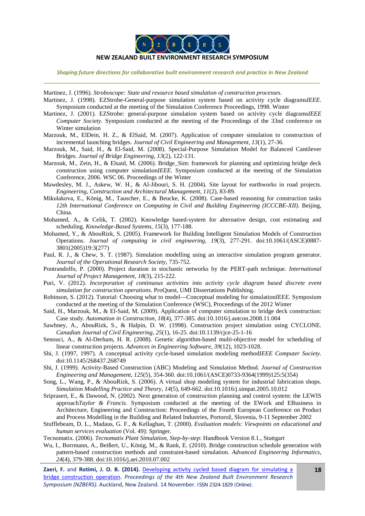

#### **NEW ZEALAND BUILT ENVIRONMENT RESEARCH SYMPOSIUM**

*Shaping future directions for collaborative built environment research and practice in New Zealand*

<span id="page-17-18"></span>Martinez, J. (1996). *Stroboscope: State and resource based simulation of construction processes*.

- <span id="page-17-19"></span>Martinez, J. (1998). EZStrobe-General-purpose simulation system based on activity cycle diagrams*IEEE.* Symposium conducted at the meeting of the Simulation Conference Proceedings, 1998. Winter
- <span id="page-17-20"></span>Martinez, J. (2001). EZStrobe: general-purpose simulation system based on activity cycle diagrams*IEEE Computer Society.* Symposium conducted at the meeting of the Proceedings of the 33nd conference on Winter simulation
- <span id="page-17-16"></span>Marzouk, M., ElDein, H. Z., & ElSaid, M. (2007). Application of computer simulation to construction of incremental launching bridges. *Journal of Civil Engineering and Management, 13*(1), 27-36.
- <span id="page-17-15"></span>Marzouk, M., Said, H., & El-Said, M. (2008). Special-Purpose Simulation Model for Balanced Cantilever Bridges. *Journal of Bridge Engineering, 13*(2), 122-131.
- <span id="page-17-23"></span>Marzouk, M., Zein, H., & Elsaid, M. (2006). Bridge\_Sim: framework for planning and optimizing bridge deck construction using computer simulation*IEEE.* Symposium conducted at the meeting of the Simulation Conference, 2006. WSC 06. Proceedings of the Winter
- <span id="page-17-7"></span>Mawdesley, M. J., Askew, W. H., & Al-Jibouri, S. H. (2004). Site layout for earthworks in road projects. *Engineering, Construction and Architectural Management, 11*(2), 83-89.
- <span id="page-17-1"></span>Mikulakova, E., König, M., Tauscher, E., & Beucke, K. (2008). Case-based reasoning for construction tasks *12th International Conference on Computing in Civil and Building Engineering (ICCCBE-XII).* Beijing, China.
- <span id="page-17-2"></span>Mohamed, A., & Celik, T. (2002). Knowledge based-system for alternative design, cost estimating and scheduling. *Knowledge-Based Systems, 15*(3), 177-188.
- <span id="page-17-8"></span>Mohamed, Y., & AbouRizk, S. (2005). Framework for Building Intelligent Simulation Models of Construction Operations. *Journal of computing in civil engineering, 19*(3), 277-291. doi:10.1061/(ASCE)0887- 3801(2005)19:3(277)
- <span id="page-17-5"></span>Paul, R. J., & Chew, S. T. (1987). Simulation modelling using an interactive simulation program generator. *Journal of the Operational Research Society*, 735-752.
- <span id="page-17-3"></span>Pontrandolfo, P. (2000). Project duration in stochastic networks by the PERT-path technique. *International Journal of Project Management, 18*(3), 215-222.
- <span id="page-17-12"></span>Puri, V. (2012). *Incorporation of continuous activities into activity cycle diagram based discrete event simulation for construction operations*. ProQuest, UMI Dissertations Publishing.
- <span id="page-17-22"></span>Robinson, S. (2012). Tutorial: Choosing what to model—Conceptual modeling for simulation*IEEE.* Symposium conducted at the meeting of the Simulation Conference (WSC), Proceedings of the 2012 Winter
- <span id="page-17-17"></span>Said, H., Marzouk, M., & El-Said, M. (2009). Application of computer simulation to bridge deck construction: Case study. *Automation in Construction, 18*(4), 377-385. doi:10.1016/j.autcon.2008.11.004
- <span id="page-17-13"></span>Sawhney, A., AbouRizk, S., & Halpin, D. W. (1998). Construction project simulation using CYCLONE. *Canadian Journal of Civil Engineering, 25*(1), 16-25. doi:10.1139/cjce-25-1-16
- <span id="page-17-4"></span>Senouci, A., & Al-Derham, H. R. (2008). Genetic algorithm-based multi-objective model for scheduling of linear construction projects. *Advances in Engineering Software, 39*(12), 1023-1028.
- <span id="page-17-0"></span>Shi, J. (1997, 1997). A conceptual activity cycle-based simulation modeling method*IEEE Computer Society.* doi:10.1145/268437.268749
- <span id="page-17-6"></span>Shi, J. (1999). Activity-Based Construction (ABC) Modeling and Simulation Method. *Journal of Construction Engineering and Management, 125*(5), 354-360. doi:10.1061/(ASCE)0733-9364(1999)125:5(354)
- <span id="page-17-10"></span>Song, L., Wang, P., & AbouRizk, S. (2006). A virtual shop modeling system for industrial fabrication shops. *Simulation Modelling Practice and Theory, 14*(5), 649-662. doi:10.1016/j.simpat.2005.10.012
- <span id="page-17-11"></span>Sriprasert, E., & Dawood, N. (2002). Next generation of construction planning and control system: the LEWIS approach*Taylor & Francis.* Symposium conducted at the meeting of the EWork and EBusiness in Architecture, Engineering and Construction: Proceedings of the Fourth European Conference on Product and Process Modelling in the Building and Related Industries, Portorož, Slovenia, 9-11 September 2002
- <span id="page-17-21"></span>Stufflebeam, D. L., Madaus, G. F., & Kellaghan, T. (2000). *Evaluation models: Viewpoints on educational and human services evaluation* (Vol. 49): Springer.

<span id="page-17-9"></span>Tecnomatix. (2006). *Tecnomatix Plant Simulation, Step-by-step*: Handbook Version 8.1., Stuttgart

<span id="page-17-14"></span>Wu, I., Borrmann, A., Beißert, U., König, M., & Rank, E. (2010). Bridge construction schedule generation with pattern-based construction methods and constraint-based simulation. *Advanced Engineering Informatics, 24*(4), 379-388. doi:10.1016/j.aei.2010.07.002